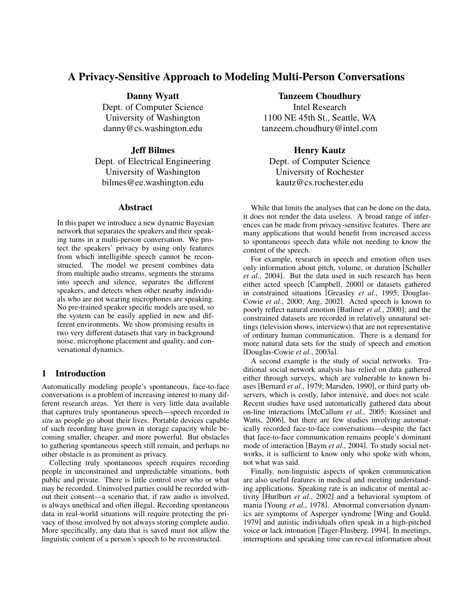# A Privacy-Sensitive Approach to Modeling Multi-Person Conversations

Danny Wyatt Dept. of Computer Science University of Washington danny@cs.washington.edu

# Jeff Bilmes

Dept. of Electrical Engineering University of Washington bilmes@ee.washington.edu

## Abstract

In this paper we introduce a new dynamic Bayesian network that separates the speakers and their speaking turns in a multi-person conversation. We protect the speakers' privacy by using only features from which intelligible speech cannot be reconstructed. The model we present combines data from multiple audio streams, segments the streams into speech and silence, separates the different speakers, and detects when other nearby individuals who are not wearing microphones are speaking. No pre-trained speaker specific models are used, so the system can be easily applied in new and different environments. We show promising results in two very different datasets that vary in background noise, microphone placement and quality, and conversational dynamics.

# 1 Introduction

Automatically modeling people's spontaneous, face-to-face conversations is a problem of increasing interest to many different research areas. Yet there is very little data available that captures truly spontaneous speech—speech recorded *in situ* as people go about their lives. Portable devices capable of such recording have grown in storage capacity while becoming smaller, cheaper, and more powerful. But obstacles to gathering spontaneous speech still remain, and perhaps no other obstacle is as prominent as privacy.

Collecting truly spontaneous speech requires recording people in unconstrained and unpredictable situations, both public and private. There is little control over who or what may be recorded. Uninvolved parties could be recorded without their consent—a scenario that, if raw audio is involved, is always unethical and often illegal. Recording spontaneous data in real-world situations will require protecting the privacy of those involved by not always storing complete audio. More specifically, any data that is saved must not allow the linguistic content of a person's speech to be reconstructed.

## Tanzeem Choudhury

Intel Research 1100 NE 45th St., Seattle, WA tanzeem.choudhury@intel.com

# Henry Kautz

Dept. of Computer Science University of Rochester kautz@cs.rochester.edu

While that limits the analyses that can be done on the data, it does not render the data useless. A broad range of inferences can be made from privacy-sensitive features. There are many applications that would benefit from increased access to spontaneous speech data while not needing to know the content of the speech.

For example, research in speech and emotion often uses only information about pitch, volume, or duration [Schuller *et al.*, 2004]. But the data used in such research has been either acted speech [Campbell, 2000] or datasets gathered in constrained situations [Greasley *et al.*, 1995; Douglas-Cowie *et al.*, 2000; Ang, 2002]. Acted speech is known to poorly reflect natural emotion [Batliner *et al.*, 2000]; and the constrained datasets are recorded in relatively unnatural settings (television shows, interviews) that are not representative of ordinary human communication. There is a demand for more natural data sets for the study of speech and emotion [Douglas-Cowie *et al.*, 2003a].

A second example is the study of social networks. Traditional social network analysis has relied on data gathered either through surveys, which are vulnerable to known biases [Bernard *et al.*, 1979; Marsden, 1990], or third party observers, which is costly, labor intensive, and does not scale. Recent studies have used automatically gathered data about on-line interactions [McCallum *et al.*, 2005; Kossinet and Watts, 2006], but there are few studies involving automatically recorded face-to-face conversations—despite the fact that face-to-face communication remains people's dominant mode of interaction [Baym *et al.*, 2004]. To study social networks, it is sufficient to know only who spoke with whom, not what was said.

Finally, non-linguistic aspects of spoken communication are also useful features in medical and meeting understanding applications. Speaking rate is an indicator of mental activity [Hurlburt *et al.*, 2002] and a behavioral symptom of mania [Young *et al.*, 1978]. Abnormal conversation dynamics are symptoms of Asperger syndrome [Wing and Gould, 1979] and autistic individuals often speak in a high-pitched voice or lack intonation [Tager-Flusberg, 1994]. In meetings, interruptions and speaking time can reveal information about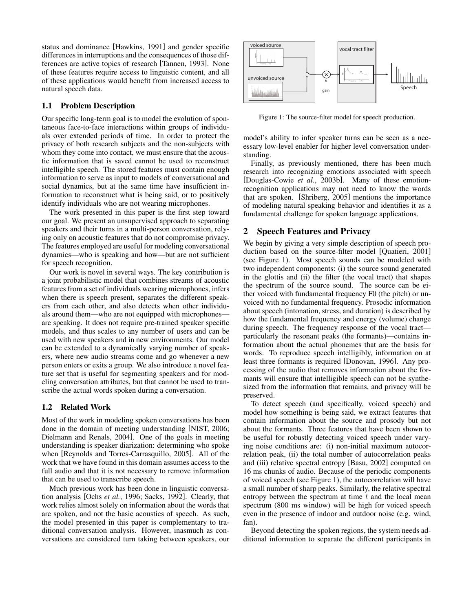status and dominance [Hawkins, 1991] and gender specific differences in interruptions and the consequences of those differences are active topics of research [Tannen, 1993]. None of these features require access to linguistic content, and all of these applications would benefit from increased access to natural speech data.

## 1.1 Problem Description

Our specific long-term goal is to model the evolution of spontaneous face-to-face interactions within groups of individuals over extended periods of time. In order to protect the privacy of both research subjects and the non-subjects with whom they come into contact, we must ensure that the acoustic information that is saved cannot be used to reconstruct intelligible speech. The stored features must contain enough information to serve as input to models of conversational and social dynamics, but at the same time have insufficient information to reconstruct what is being said, or to positively identify individuals who are not wearing microphones.

The work presented in this paper is the first step toward our goal. We present an unsupervised approach to separating speakers and their turns in a multi-person conversation, relying only on acoustic features that do not compromise privacy. The features employed are useful for modeling conversational dynamics—who is speaking and how—but are not sufficient for speech recognition.

Our work is novel in several ways. The key contribution is a joint probabilistic model that combines streams of acoustic features from a set of individuals wearing microphones, infers when there is speech present, separates the different speakers from each other, and also detects when other individuals around them—who are not equipped with microphones are speaking. It does not require pre-trained speaker specific models, and thus scales to any number of users and can be used with new speakers and in new environments. Our model can be extended to a dynamically varying number of speakers, where new audio streams come and go whenever a new person enters or exits a group. We also introduce a novel feature set that is useful for segmenting speakers and for modeling conversation attributes, but that cannot be used to transcribe the actual words spoken during a conversation.

# 1.2 Related Work

Most of the work in modeling spoken conversations has been done in the domain of meeting understanding [NIST, 2006; Dielmann and Renals, 2004]. One of the goals in meeting understanding is speaker diarization: determining who spoke when [Reynolds and Torres-Carrasquillo, 2005]. All of the work that we have found in this domain assumes access to the full audio and that it is not necessary to remove information that can be used to transcribe speech.

Much previous work has been done in linguistic conversation analysis [Ochs *et al.*, 1996; Sacks, 1992]. Clearly, that work relies almost solely on information about the words that are spoken, and not the basic acoustics of speech. As such, the model presented in this paper is complementary to traditional conversation analysis. However, inasmuch as conversations are considered turn taking between speakers, our



Figure 1: The source-filter model for speech production.

model's ability to infer speaker turns can be seen as a necessary low-level enabler for higher level conversation understanding.

Finally, as previously mentioned, there has been much research into recognizing emotions associated with speech [Douglas-Cowie *et al.*, 2003b]. Many of these emotionrecognition applications may not need to know the words that are spoken. [Shriberg, 2005] mentions the importance of modeling natural speaking behavior and identifies it as a fundamental challenge for spoken language applications.

# 2 Speech Features and Privacy

We begin by giving a very simple description of speech production based on the source-filter model [Quatieri, 2001] (see Figure 1). Most speech sounds can be modeled with two independent components: (i) the source sound generated in the glottis and (ii) the filter (the vocal tract) that shapes the spectrum of the source sound. The source can be either voiced with fundamental frequency F0 (the pitch) or unvoiced with no fundamental frequency. Prosodic information about speech (intonation, stress, and duration) is described by how the fundamental frequency and energy (volume) change during speech. The frequency response of the vocal tract particularly the resonant peaks (the formants)—contains information about the actual phonemes that are the basis for words. To reproduce speech intelligibly, information on at least three formants is required [Donovan, 1996]. Any processing of the audio that removes information about the formants will ensure that intelligible speech can not be synthesized from the information that remains, and privacy will be preserved.

To detect speech (and specifically, voiced speech) and model how something is being said, we extract features that contain information about the source and prosody but not about the formants. Three features that have been shown to be useful for robustly detecting voiced speech under varying noise conditions are: (i) non-initial maximum autocorrelation peak, (ii) the total number of autocorrelation peaks and (iii) relative spectral entropy [Basu, 2002] computed on 16 ms chunks of audio. Because of the periodic components of voiced speech (see Figure 1), the autocorrelation will have a small number of sharp peaks. Similarly, the relative spectral entropy between the spectrum at time  $t$  and the local mean spectrum (800 ms window) will be high for voiced speech even in the presence of indoor and outdoor noise (e.g. wind, fan).

Beyond detecting the spoken regions, the system needs additional information to separate the different participants in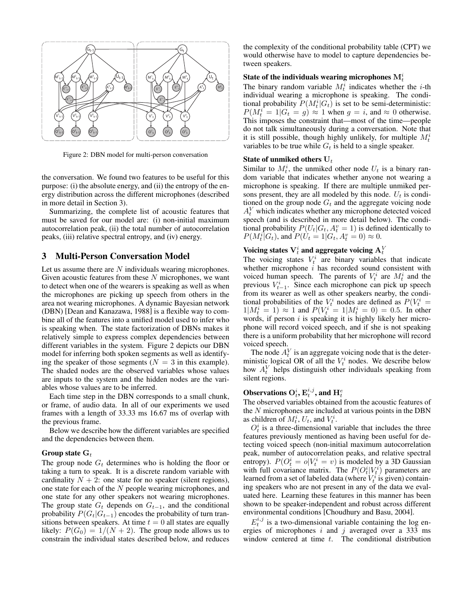

Figure 2: DBN model for multi-person conversation

the conversation. We found two features to be useful for this purpose: (i) the absolute energy, and (ii) the entropy of the energy distribution across the different microphones (described in more detail in Section 3).

Summarizing, the complete list of acoustic features that must be saved for our model are: (i) non-initial maximum autocorrelation peak, (ii) the total number of autocorrelation peaks, (iii) relative spectral entropy, and (iv) energy.

## 3 Multi-Person Conversation Model

Let us assume there are N individuals wearing microphones. Given acoustic features from these  $N$  microphones, we want to detect when one of the wearers is speaking as well as when the microphones are picking up speech from others in the area not wearing microphones. A dynamic Bayesian network (DBN) [Dean and Kanazawa, 1988] is a flexible way to combine all of the features into a unified model used to infer who is speaking when. The state factorization of DBNs makes it relatively simple to express complex dependencies between different variables in the system. Figure 2 depicts our DBN model for inferring both spoken segments as well as identifying the speaker of those segments ( $N = 3$  in this example). The shaded nodes are the observed variables whose values are inputs to the system and the hidden nodes are the variables whose values are to be inferred.

Each time step in the DBN corresponds to a small chunk, or frame, of audio data. In all of our experiments we used frames with a length of 33.33 ms 16.67 ms of overlap with the previous frame.

Below we describe how the different variables are specified and the dependencies between them.

#### Group state  $G_t$

The group node  $G_t$  determines who is holding the floor or taking a turn to speak. It is a discrete random variable with cardinality  $N + 2$ : one state for no speaker (silent regions), one state for each of the N people wearing microphones, and one state for any other speakers not wearing microphones. The group state  $G_t$  depends on  $G_{t-1}$ , and the conditional probability  $P(G_t|G_{t-1})$  encodes the probability of turn transitions between speakers. At time  $t = 0$  all states are equally likely:  $P(G_0) = 1/(N + 2)$ . The group node allows us to constrain the individual states described below, and reduces the complexity of the conditional probability table (CPT) we would otherwise have to model to capture dependencies between speakers.

# State of the individuals wearing microphones  $\mathrm{M}^i_t$

The binary random variable  $M_t^i$  indicates whether the *i*-th individual wearing a microphone is speaking. The conditional probability  $P(M_t^i|G_t)$  is set to be semi-deterministic:  $P(M_t^i = 1 | G_t = g) \approx 1$  when  $g = i$ , and  $\approx 0$  otherwise. This imposes the constraint that—most of the time—people do not talk simultaneously during a conversation. Note that it is still possible, though highly unlikely, for multiple  $M_t^i$ variables to be true while  $G_t$  is held to a single speaker.

#### State of unmiked others  $U_t$

Similar to  $M_t^i$ , the unmiked other node  $U_t$  is a binary random variable that indicates whether anyone not wearing a microphone is speaking. If there are multiple unmiked persons present, they are all modeled by this node.  $U_t$  is conditioned on the group node  $G_t$  and the aggregate voicing node  $A_t^V$  which indicates whether any microphone detected voiced speech (and is described in more detail below). The conditional probability  $P(U_t|G_t, A_t^v = 1)$  is defined identically to  $P(M_t^i|G_t)$ , and  $P(U_t = 1|G_t, A_t^v = 0) \approx 0$ .

# Voicing states  $\mathrm{V}^{i}_{t}$  and aggregate voicing  $\mathrm{A}^V_t$

The voicing states  $V_t^i$  are binary variables that indicate whether microphone  $i$  has recorded sound consistent with voiced human speech. The parents of  $V_t^i$  are  $M_t^i$  and the previous  $V_{t-1}^i$ . Since each microphone can pick up speech from its wearer as well as other speakers nearby, the conditional probabilities of the  $V_t^i$  nodes are defined as  $P(V_t^i =$  $1|M_t^i = 1$   $\approx 1$  and  $P(V_t^i = 1 | M_t^i = 0) = 0.5$ . In other words, if person  $i$  is speaking it is highly likely her microphone will record voiced speech, and if she is not speaking there is a uniform probability that her microphone will record voiced speech.

The node  $A_t^V$  is an aggregate voicing node that is the deterministic logical OR of all the  $V_t^i$  nodes. We describe below how  $A_t^V$  helps distinguish other individuals speaking from silent regions.

# Observations  ${\rm O}_t^i, {\rm E}_t^{i,j},$  and  ${\rm H}_t^e$

The observed variables obtained from the acoustic features of the N microphones are included at various points in the DBN as children of  $M_t^i$ ,  $U_t$ , and  $V_t^i$ .

 $O_t^i$  is a three-dimensional variable that includes the three features previously mentioned as having been useful for detecting voiced speech (non-initial maximum autocorrelation peak, number of autocorrelation peaks, and relative spectral entropy).  $P(O_t^i = o | V_t^i = v)$  is modeled by a 3D Gaussian with full covariance matrix. The  $P(O_t^i|V_t^i)$  parameters are learned from a set of labeled data (where  $V_t^i$  is given) containing speakers who are not present in any of the data we evaluated here. Learning these features in this manner has been shown to be speaker-independent and robust across different environmental conditions [Choudhury and Basu, 2004].

 $E_t^{i,j}$  is a two-dimensional variable containing the log energies of microphones  $i$  and  $j$  averaged over a 333 ms window centered at time  $t$ . The conditional distribution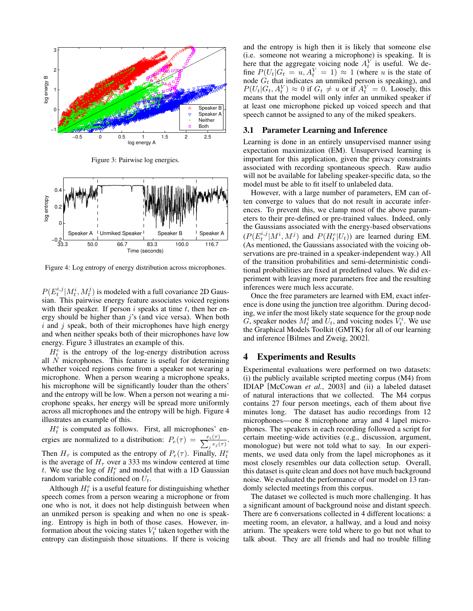

Figure 3: Pairwise log energies.



Figure 4: Log entropy of energy distribution across microphones.

 $P(E_t^{i,j}|M_t^i, M_t^j)$  is modeled with a full covariance 2D Gaussian. This pairwise energy feature associates voiced regions with their speaker. If person  $i$  speaks at time  $t$ , then her energy should be higher than  $j$ 's (and vice versa). When both  $i$  and  $j$  speak, both of their microphones have high energy and when neither speaks both of their microphones have low energy. Figure 3 illustrates an example of this.

 $H_t^e$  is the entropy of the log-energy distribution across all  $N$  microphones. This feature is useful for determining whether voiced regions come from a speaker not wearing a microphone. When a person wearing a microphone speaks, his microphone will be significantly louder than the others' and the entropy will be low. When a person not wearing a microphone speaks, her energy will be spread more uniformly across all microphones and the entropy will be high. Figure 4 illustrates an example of this.

 $H_t^e$  is computed as follows. First, all microphones' energies are normalized to a distribution:  $P_e(\tau) = \frac{e_i(\tau)}{\sum_j e_j(\tau)}$ . Then  $H_{\tau}$  is computed as the entropy of  $P_e(\tau)$ . Finally,  $H_t^e$ is the average of  $H<sub>\tau</sub>$  over a 333 ms window centered at time t. We use the log of  $H_t^e$  and model that with a 1D Gaussian random variable conditioned on  $U_t$ .

Although  $H_t^e$  is a useful feature for distinguishing whether speech comes from a person wearing a microphone or from one who is not, it does not help distinguish between when an unmiked person is speaking and when no one is speaking. Entropy is high in both of those cases. However, information about the voicing states  $V_t^i$  taken together with the entropy can distinguish those situations. If there is voicing and the entropy is high then it is likely that someone else (i.e. someone not wearing a microphone) is speaking. It is here that the aggregate voicing node  $A_t^V$  is useful. We define  $P(U_t|G_t = u, A_t^V = 1) \approx 1$  (where u is the state of node  $G_t$  that indicates an unmiked person is speaking), and  $P(U_t|G_t, A_t^V) \approx 0$  if  $G_t \neq u$  or if  $A_t^V = 0$ . Loosely, this means that the model will only infer an unmiked speaker if at least one microphone picked up voiced speech and that speech cannot be assigned to any of the miked speakers.

### 3.1 Parameter Learning and Inference

Learning is done in an entirely unsupervised manner using expectation maximization (EM). Unsupervised learning is important for this application, given the privacy constraints associated with recording spontaneous speech. Raw audio will not be available for labeling speaker-specific data, so the model must be able to fit itself to unlabeled data.

However, with a large number of parameters, EM can often converge to values that do not result in accurate inferences. To prevent this, we clamp most of the above parameters to their pre-defined or pre-trained values. Indeed, only the Gaussians associated with the energy-based observations  $(P(E_t^{i,j}|M^i, M^j)$  and  $P(H_t^e|U_t))$  are learned during EM. (As mentioned, the Gaussians associated with the voicing observations are pre-trained in a speaker-independent way.) All of the transition probabilities and semi-deterministic conditional probabilities are fixed at predefined values. We did experiment with leaving more parameters free and the resulting inferences were much less accurate.

Once the free parameters are learned with EM, exact inference is done using the junction tree algorithm. During decoding, we infer the most likely state sequence for the group node G, speaker nodes  $M_t^i$  and  $U_t$ , and voicing nodes  $\bar{V}_t^i$ . We use the Graphical Models Toolkit (GMTK) for all of our learning and inference [Bilmes and Zweig, 2002].

### 4 Experiments and Results

Experimental evaluations were performed on two datasets: (i) the publicly available scripted meeting corpus (M4) from IDIAP [McCowan *et al.*, 2003] and (ii) a labeled dataset of natural interactions that we collected. The M4 corpus contains 27 four person meetings, each of them about five minutes long. The dataset has audio recordings from 12 microphones—one 8 microphone array and 4 lapel microphones. The speakers in each recording followed a script for certain meeting-wide activities (e.g., discussion, argument, monologue) but were not told what to say. In our experiments, we used data only from the lapel microphones as it most closely resembles our data collection setup. Overall, this dataset is quite clean and does not have much background noise. We evaluated the performance of our model on 13 randomly selected meetings from this corpus.

The dataset we collected is much more challenging. It has a significant amount of background noise and distant speech. There are 6 conversations collected in 4 different locations: a meeting room, an elevator, a hallway, and a loud and noisy atrium. The speakers were told where to go but not what to talk about. They are all friends and had no trouble filling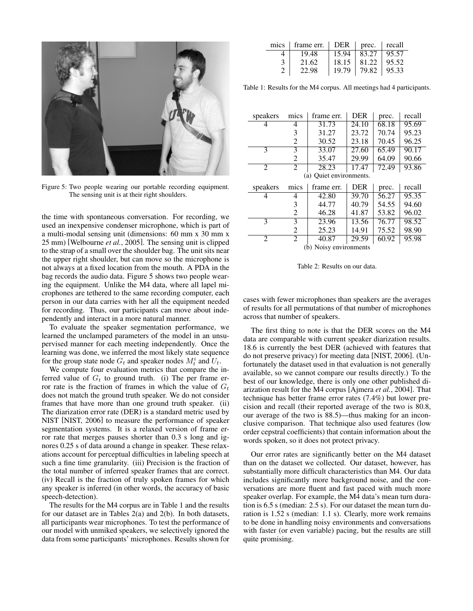

Figure 5: Two people wearing our portable recording equipment. The sensing unit is at their right shoulders.

the time with spontaneous conversation. For recording, we used an inexpensive condenser microphone, which is part of a multi-modal sensing unit (dimensions: 60 mm x 30 mm x 25 mm) [Welbourne *et al.*, 2005]. The sensing unit is clipped to the strap of a small over the shoulder bag. The unit sits near the upper right shoulder, but can move so the microphone is not always at a fixed location from the mouth. A PDA in the bag records the audio data. Figure 5 shows two people wearing the equipment. Unlike the M4 data, where all lapel microphones are tethered to the same recording computer, each person in our data carries with her all the equipment needed for recording. Thus, our participants can move about independently and interact in a more natural manner.

To evaluate the speaker segmentation performance, we learned the unclamped parameters of the model in an unsupervised manner for each meeting independently. Once the learning was done, we inferred the most likely state sequence for the group state node  $G_t$  and speaker nodes  $M_t^i$  and  $U_t$ .

We compute four evaluation metrics that compare the inferred value of  $G_t$  to ground truth. (i) The per frame error rate is the fraction of frames in which the value of  $G_t$ does not match the ground truth speaker. We do not consider frames that have more than one ground truth speaker. (ii) The diarization error rate (DER) is a standard metric used by NIST [NIST, 2006] to measure the performance of speaker segmentation systems. It is a relaxed version of frame error rate that merges pauses shorter than 0.3 s long and ignores 0.25 s of data around a change in speaker. These relaxations account for perceptual difficulties in labeling speech at such a fine time granularity. (iii) Precision is the fraction of the total number of inferred speaker frames that are correct. (iv) Recall is the fraction of truly spoken frames for which any speaker is inferred (in other words, the accuracy of basic speech-detection).

The results for the M4 corpus are in Table 1 and the results for our dataset are in Tables 2(a) and 2(b). In both datasets, all participants wear microphones. To test the performance of our model with unmiked speakers, we selectively ignored the data from some participants' microphones. Results shown for

| mics   frame err.   DER   prec.   recall |       |       |        |
|------------------------------------------|-------|-------|--------|
| 19.48                                    | 15.94 | 83.27 | 195.57 |
| 21.62                                    | 18.15 | 81.22 | 95.52  |
| 22.98                                    | 19.79 | 79.82 | 95.33  |

Table 1: Results for the M4 corpus. All meetings had 4 participants.

| speakers                | mics | frame err. | <b>DER</b> | prec. | recall |  |  |
|-------------------------|------|------------|------------|-------|--------|--|--|
| 4                       | 4    | 31.73      | 24.10      | 68.18 | 95.69  |  |  |
|                         | 3    | 31.27      | 23.72      | 70.74 | 95.23  |  |  |
|                         | 2    | 30.52      | 23.18      | 70.45 | 96.25  |  |  |
| 3                       | 3    | 33.07      | 27.60      | 65.49 | 90.17  |  |  |
|                         | 2    | 35.47      | 29.99      | 64.09 | 90.66  |  |  |
| 2                       | 2    | 28.23      | 17.47      | 72.49 | 93.86  |  |  |
| (a) Quiet environments. |      |            |            |       |        |  |  |
|                         |      |            |            |       |        |  |  |
| speakers                | mics | frame err. | <b>DER</b> | prec. | recall |  |  |
| 4                       | 4    | 42.80      | 39.70      | 56.27 | 95.35  |  |  |
|                         | 3    | 44.77      | 40.79      | 54.55 | 94.60  |  |  |
|                         | 2    | 46.28      | 41.87      | 53.82 | 96.02  |  |  |
| 3                       | 3    | 23.96      | 13.56      | 76.77 | 98.52  |  |  |
|                         | 2    | 25.23      | 14.91      | 75.52 | 98.90  |  |  |
| 2                       | 2    | 40.87      | 29.59      | 60.92 | 95.98  |  |  |

Table 2: Results on our data.

cases with fewer microphones than speakers are the averages of results for all permutations of that number of microphones across that number of speakers.

The first thing to note is that the DER scores on the M4 data are comparable with current speaker diarization results. 18.6 is currently the best DER (achieved with features that do not preserve privacy) for meeting data [NIST, 2006]. (Unfortunately the dataset used in that evaluation is not generally available, so we cannot compare our results directly.) To the best of our knowledge, there is only one other published diarization result for the M4 corpus [Ajmera *et al.*, 2004]. That technique has better frame error rates (7.4%) but lower precision and recall (their reported average of the two is 80.8, our average of the two is 88.5)—thus making for an inconclusive comparison. That technique also used features (low order cepstral coefficients) that contain information about the words spoken, so it does not protect privacy.

Our error rates are significantly better on the M4 dataset than on the dataset we collected. Our dataset, however, has substantially more difficult characteristics than M4. Our data includes significantly more background noise, and the conversations are more fluent and fast paced with much more speaker overlap. For example, the M4 data's mean turn duration is 6.5 s (median: 2.5 s). For our dataset the mean turn duration is 1.52 s (median: 1.1 s). Clearly, more work remains to be done in handling noisy environments and conversations with faster (or even variable) pacing, but the results are still quite promising.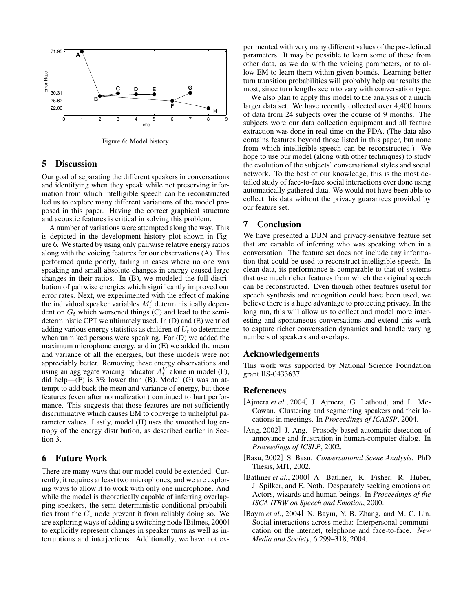

Figure 6: Model history

## 5 Discussion

Our goal of separating the different speakers in conversations and identifying when they speak while not preserving information from which intelligible speech can be reconstructed led us to explore many different variations of the model proposed in this paper. Having the correct graphical structure and acoustic features is critical in solving this problem.

A number of variations were attempted along the way. This is depicted in the development history plot shown in Figure 6. We started by using only pairwise relative energy ratios along with the voicing features for our observations (A). This performed quite poorly, failing in cases where no one was speaking and small absolute changes in energy caused large changes in their ratios. In (B), we modeled the full distribution of pairwise energies which significantly improved our error rates. Next, we experimented with the effect of making the individual speaker variables  $M_t^i$  deterministically dependent on  $G_t$  which worsened things (C) and lead to the semideterministic CPT we ultimately used. In (D) and (E) we tried adding various energy statistics as children of  $U_t$  to determine when unmiked persons were speaking. For (D) we added the maximum microphone energy, and in (E) we added the mean and variance of all the energies, but these models were not appreciably better. Removing these energy observations and using an aggregate voicing indicator  $A_t^V$  alone in model (F), did help— $(F)$  is 3% lower than  $(B)$ . Model  $(G)$  was an attempt to add back the mean and variance of energy, but those features (even after normalization) continued to hurt performance. This suggests that those features are not sufficiently discriminative which causes EM to converge to unhelpful parameter values. Lastly, model (H) uses the smoothed log entropy of the energy distribution, as described earlier in Section 3.

## 6 Future Work

There are many ways that our model could be extended. Currently, it requires at least two microphones, and we are exploring ways to allow it to work with only one microphone. And while the model is theoretically capable of inferring overlapping speakers, the semi-deterministic conditional probabilities from the  $G_t$  node prevent it from reliably doing so. We are exploring ways of adding a switching node [Bilmes, 2000] to explicitly represent changes in speaker turns as well as interruptions and interjections. Additionally, we have not experimented with very many different values of the pre-defined parameters. It may be possible to learn some of these from other data, as we do with the voicing parameters, or to allow EM to learn them within given bounds. Learning better turn transition probabilities will probably help our results the most, since turn lengths seem to vary with conversation type.

We also plan to apply this model to the analysis of a much larger data set. We have recently collected over 4,400 hours of data from 24 subjects over the course of 9 months. The subjects wore our data collection equipment and all feature extraction was done in real-time on the PDA. (The data also contains features beyond those listed in this paper, but none from which intelligible speech can be reconstructed.) We hope to use our model (along with other techniques) to study the evolution of the subjects' conversational styles and social network. To the best of our knowledge, this is the most detailed study of face-to-face social interactions ever done using automatically gathered data. We would not have been able to collect this data without the privacy guarantees provided by our feature set.

## 7 Conclusion

We have presented a DBN and privacy-sensitive feature set that are capable of inferring who was speaking when in a conversation. The feature set does not include any information that could be used to reconstruct intelligible speech. In clean data, its performance is comparable to that of systems that use much richer features from which the original speech can be reconstructed. Even though other features useful for speech synthesis and recognition could have been used, we believe there is a huge advantage to protecting privacy. In the long run, this will allow us to collect and model more interesting and spontaneous conversations and extend this work to capture richer conversation dynamics and handle varying numbers of speakers and overlaps.

### Acknowledgements

This work was supported by National Science Foundation grant IIS-0433637.

### References

- [Ajmera *et al.*, 2004] J. Ajmera, G. Lathoud, and L. Mc-Cowan. Clustering and segmenting speakers and their locations in meetings. In *Proceedings of ICASSP*, 2004.
- [Ang, 2002] J. Ang. Prosody-based automatic detection of annoyance and frustration in human-computer dialog. In *Proceedings of ICSLP*, 2002.
- [Basu, 2002] S. Basu. *Conversational Scene Analysis*. PhD Thesis, MIT, 2002.
- [Batliner *et al.*, 2000] A. Batliner, K. Fisher, R. Huber, J. Spilker, and E. Noth. Desperately seeking emotions or: Actors, wizards and human beings. In *Proceedings of the ISCA ITRW on Speech and Emotion*, 2000.
- [Baym *et al.*, 2004] N. Baym, Y. B. Zhang, and M. C. Lin. Social interactions across media: Interpersonal communication on the internet, telephone and face-to-face. *New Media and Society*, 6:299–318, 2004.